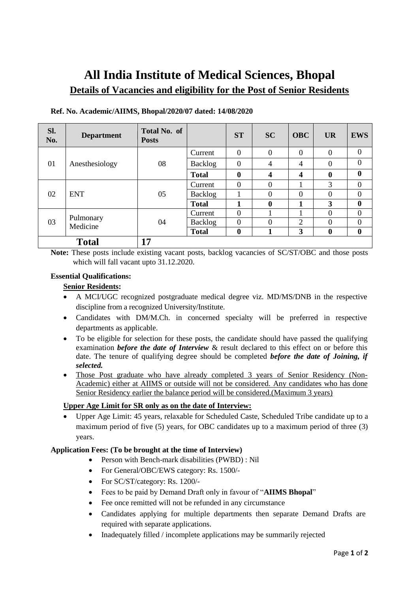# **All India Institute of Medical Sciences, Bhopal Details of Vacancies and eligibility for the Post of Senior Residents**

| Sl.<br>No.   | <b>Department</b>     | Total No. of<br><b>Posts</b> |              | <b>ST</b>      | <b>SC</b>      | <b>OBC</b>              | <b>UR</b>    | <b>EWS</b>       |
|--------------|-----------------------|------------------------------|--------------|----------------|----------------|-------------------------|--------------|------------------|
| 01           | Anesthesiology        | 08                           | Current      | $\overline{0}$ | $\mathbf{0}$   | $\Omega$                | $\Omega$     | $\overline{0}$   |
|              |                       |                              | Backlog      | $\overline{0}$ | $\overline{4}$ | $\overline{4}$          | $\Omega$     | $\theta$         |
|              |                       |                              | <b>Total</b> | $\mathbf{0}$   | 4              | $\overline{\mathbf{4}}$ | $\mathbf{0}$ | $\bf{0}$         |
| 02           | <b>ENT</b>            | 05                           | Current      | $\Omega$       | $\overline{0}$ |                         | 3            | $\theta$         |
|              |                       |                              | Backlog      |                | $\overline{0}$ | $\overline{0}$          | $\Omega$     | $\theta$         |
|              |                       |                              | <b>Total</b> | 1              | $\mathbf{0}$   | $\mathbf{1}$            | 3            | $\boldsymbol{0}$ |
| 03           | Pulmonary<br>Medicine | 04                           | Current      | $\Omega$       |                |                         | $\Omega$     | $\Omega$         |
|              |                       |                              | Backlog      | $\overline{0}$ | $\overline{0}$ | 2                       | $\Omega$     | $\overline{0}$   |
|              |                       |                              | <b>Total</b> | $\bf{0}$       | 1              | 3                       | $\mathbf{0}$ | $\bf{0}$         |
| <b>Total</b> |                       | 17                           |              |                |                |                         |              |                  |

### **Ref. No. Academic/AIIMS, Bhopal/2020/07 dated: 14/08/2020**

Note: These posts include existing vacant posts, backlog vacancies of SC/ST/OBC and those posts which will fall vacant upto 31.12.2020.

#### **Essential Qualifications:**

#### **Senior Residents:**

- A MCI/UGC recognized postgraduate medical degree viz. MD/MS/DNB in the respective discipline from a recognized University/Institute.
- Candidates with DM/M.Ch. in concerned specialty will be preferred in respective departments as applicable.
- To be eligible for selection for these posts, the candidate should have passed the qualifying examination *before the date of Interview* & result declared to this effect on or before this date. The tenure of qualifying degree should be completed *before the date of Joining, if selected.*
- Those Post graduate who have already completed 3 years of Senior Residency (Non-Academic) either at AIIMS or outside will not be considered. Any candidates who has done Senior Residency earlier the balance period will be considered.(Maximum 3 years)

### **Upper Age Limit for SR only as on the date of Interview:**

 Upper Age Limit: 45 years, relaxable for Scheduled Caste, Scheduled Tribe candidate up to a maximum period of five (5) years, for OBC candidates up to a maximum period of three (3) years.

#### **Application Fees: (To be brought at the time of Interview)**

- Person with Bench-mark disabilities (PWBD) : Nil
- For General/OBC/EWS category: Rs. 1500/-
- For SC/ST/category: Rs. 1200/-
- Fees to be paid by Demand Draft only in favour of "**AIIMS Bhopal**"
- Fee once remitted will not be refunded in any circumstance
- Candidates applying for multiple departments then separate Demand Drafts are required with separate applications.
- Inadequately filled / incomplete applications may be summarily rejected